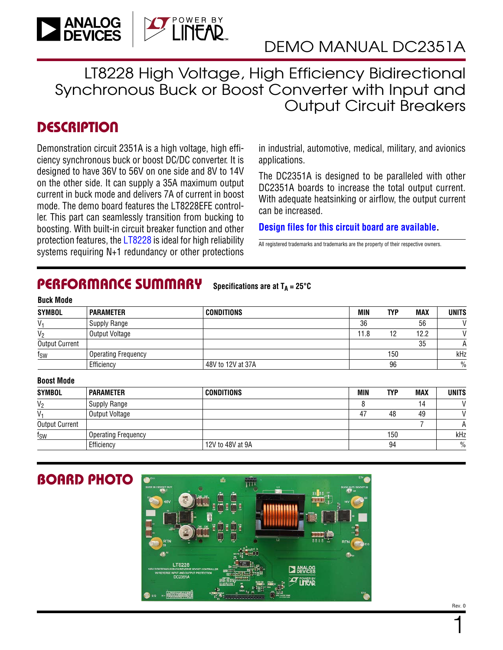

LT8228 High Voltage, High Efficiency Bidirectional Synchronous Buck or Boost Converter with Input and Output Circuit Breakers

### **DESCRIPTION**

Demonstration circuit 2351A is a high voltage, high efficiency synchronous buck or boost DC/DC converter. It is designed to have 36V to 56V on one side and 8V to 14V on the other side. It can supply a 35A maximum output current in buck mode and delivers 7A of current in boost mode. The demo board features the LT8228EFE controller. This part can seamlessly transition from bucking to boosting. With built-in circuit breaker function and other protection features, the [LT8228](https://www.analog.com/LT8228?doc=DC2351A.pdf
) is ideal for high reliability systems requiring N+1 redundancy or other protections

in industrial, automotive, medical, military, and avionics applications.

The DC2351A is designed to be paralleled with other DC2351A boards to increase the total output current. With adequate heatsinking or airflow, the output current can be increased.

**[Design files for this circuit board are available](https://www.analog.com/en/design-center/evaluation-hardware-and-software/evaluation-boards-kits/DC2351A.html#eb-documentation?doc=DC2351A.pdf).**

All registered trademarks and trademarks are the property of their respective owners.

#### PERFORMANCE SUMMARY Specifications are at  $T_A = 25^\circ C$

| <b>Buck Mode</b>      |                            |                   |            |            |            |               |
|-----------------------|----------------------------|-------------------|------------|------------|------------|---------------|
| <b>SYMBOL</b>         | <b>PARAMETER</b>           | CONDITIONS        | <b>MIN</b> | <b>TYP</b> | <b>MAX</b> | <b>UNITS</b>  |
| V,                    | Supply Range               |                   | 36         |            | 56         | $\mathcal{L}$ |
| V <sub>2</sub>        | Output Voltage             |                   | 11.8       | 12         | 12.2       | $\mathcal{U}$ |
| <b>Output Current</b> |                            |                   |            |            | 35         |               |
| fsw                   | <b>Operating Frequency</b> |                   |            | 150        |            | kHz           |
|                       | Efficiency                 | 48V to 12V at 37A |            | 96         |            | $\frac{0}{0}$ |
|                       |                            |                   |            |            |            |               |

### **Boost Mode**

| SYMBOL<br><b>CONDITIONS</b><br>MIN<br><b>PARAMETER</b><br>TYP |                            |                  |    |     |     |               |
|---------------------------------------------------------------|----------------------------|------------------|----|-----|-----|---------------|
|                                                               |                            |                  |    |     | MAX | <b>UNITS</b>  |
| $V_2$                                                         | <b>Supply Range</b>        |                  |    |     | 14  |               |
| V <sub>1</sub>                                                | Output Voltage             |                  | 47 | 48  | 49  |               |
| <b>Output Current</b>                                         |                            |                  |    |     |     | A             |
| f <sub>SW</sub>                                               | <b>Operating Frequency</b> |                  |    | 150 |     | kHz           |
|                                                               | Efficiency                 | 12V to 48V at 9A |    | 94  |     | $\frac{0}{0}$ |



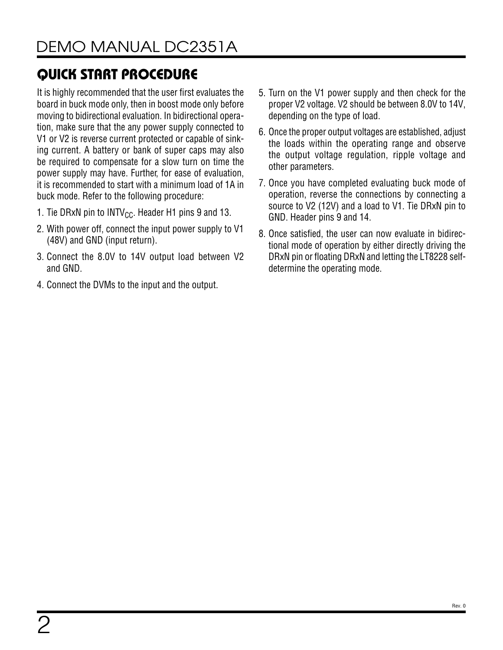It is highly recommended that the user first evaluates the board in buck mode only, then in boost mode only before moving to bidirectional evaluation. In bidirectional operation, make sure that the any power supply connected to V1 or V2 is reverse current protected or capable of sinking current. A battery or bank of super caps may also be required to compensate for a slow turn on time the power supply may have. Further, for ease of evaluation, it is recommended to start with a minimum load of 1A in buck mode. Refer to the following procedure:

- 1. Tie DRxN pin to INTV<sub>CC</sub>. Header H1 pins 9 and 13.
- 2. With power off, connect the input power supply to V1 (48V) and GND (input return).
- 3. Connect the 8.0V to 14V output load between V2 and GND.
- 4. Connect the DVMs to the input and the output.
- 5. Turn on the V1 power supply and then check for the proper V2 voltage. V2 should be between 8.0V to 14V, depending on the type of load.
- 6. Once the proper output voltages are established, adjust the loads within the operating range and observe the output voltage regulation, ripple voltage and other parameters.
- 7. Once you have completed evaluating buck mode of operation, reverse the connections by connecting a source to V2 (12V) and a load to V1. Tie DRxN pin to GND. Header pins 9 and 14.
- 8. Once satisfied, the user can now evaluate in bidirectional mode of operation by either directly driving the DRxN pin or floating DRxN and letting the LT8228 selfdetermine the operating mode.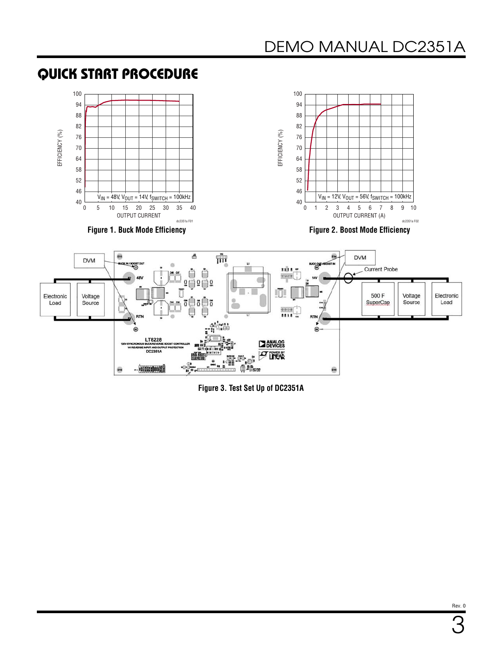

<span id="page-2-0"></span>



**Figure 3. Test Set Up of DC2351A**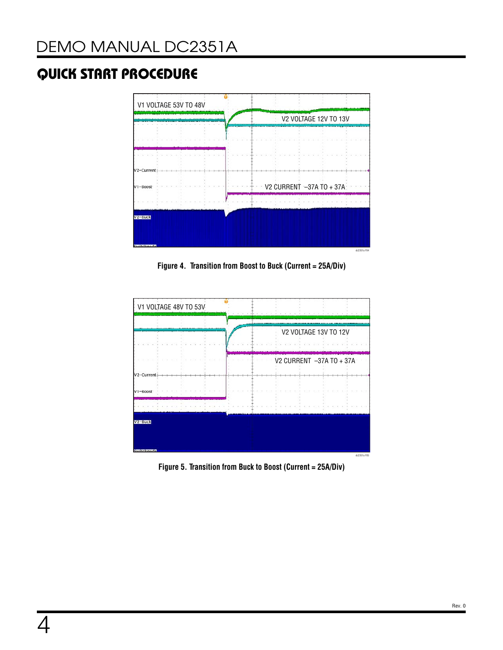

**Figure 4. Transition from Boost to Buck (Current = 25A/Div)**



**Figure 5. Transition from Buck to Boost (Current = 25A/Div)**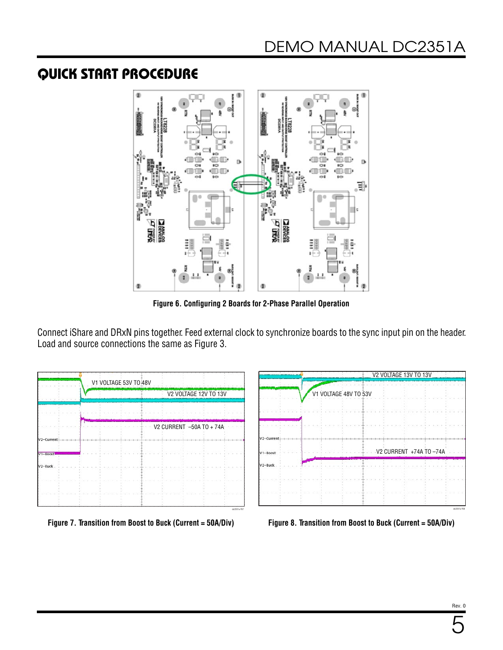

**Figure 6. Configuring 2 Boards for 2-Phase Parallel Operation**

Connect iShare and DRxN pins together. Feed external clock to synchronize boards to the sync input pin on the header. Load and source connections the same as [Figure 3](#page-2-0).



**Figure 7. Transition from Boost to Buck (Current = 50A/Div) Figure 8. Transition from Boost to Buck (Current = 50A/Div)**

|                     |  |                       | V2 VOLTAGE 13V TO 13V   |  |
|---------------------|--|-----------------------|-------------------------|--|
|                     |  | V1 VOLTAGE 48V TO 53V |                         |  |
|                     |  |                       |                         |  |
|                     |  |                       |                         |  |
| V2-Currer           |  |                       |                         |  |
| $V1 - \text{Boost}$ |  |                       | V2 CURRENT +74A TO -74A |  |
| $V2 - Buck$         |  |                       |                         |  |
|                     |  |                       |                         |  |
|                     |  |                       |                         |  |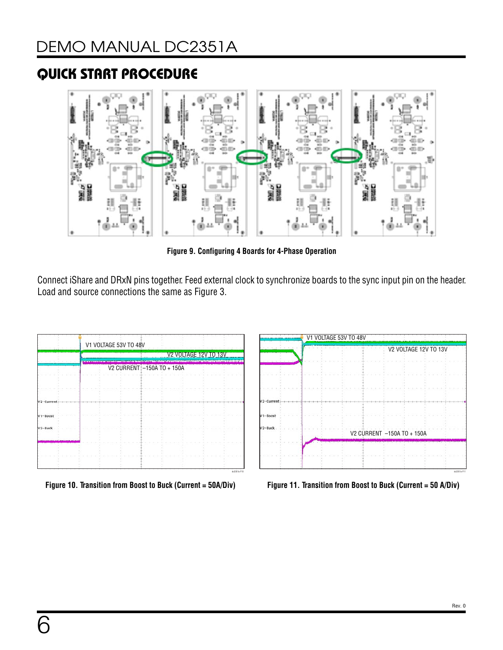

**Figure 9. Configuring 4 Boards for 4-Phase Operation**

Connect iShare and DRxN pins together. Feed external clock to synchronize boards to the sync input pin on the header. Load and source connections the same as [Figure 3](#page-2-0).





**Figure 10. Transition from Boost to Buck (Current = 50A/Div) Figure 11. Transition from Boost to Buck (Current = 50 A/Div)**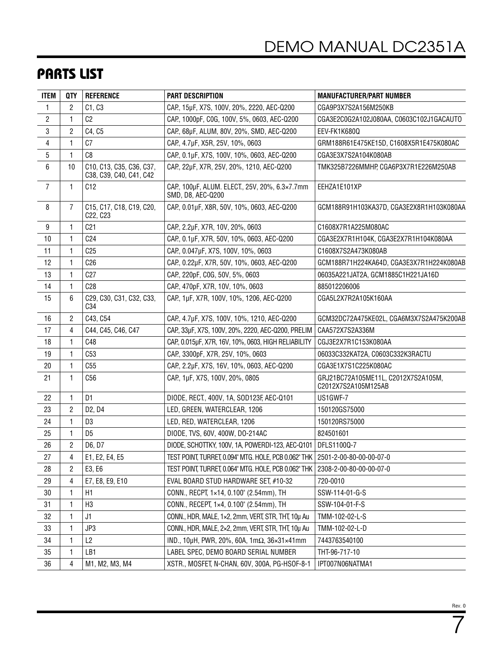## PARTS LIST

| ITEM             | QTY          | <b>REFERENCE</b>                                    | <b>PART DESCRIPTION</b>                                                        | <b>MANUFACTURER/PART NUMBER</b>                            |
|------------------|--------------|-----------------------------------------------------|--------------------------------------------------------------------------------|------------------------------------------------------------|
| $\mathbf{1}$     | 2            | C1, C3                                              | CAP, 15µF, X7S, 100V, 20%, 2220, AEC-Q200                                      | CGA9P3X7S2A156M250KB                                       |
| $\overline{c}$   | 1            | C <sub>2</sub>                                      | CAP., 1000pF, COG, 100V, 5%, 0603, AEC-Q200                                    | CGA3E2C0G2A102J080AA, C0603C102J1GACAUTO                   |
| 3                | 2            | C4, C5                                              | CAP., 68µF, ALUM, 80V, 20%, SMD, AEC-Q200                                      | EEV-FK1K680Q                                               |
| 4                | $\mathbf{1}$ | C <sub>7</sub>                                      | CAP., 4.7µF, X5R, 25V, 10%, 0603                                               | GRM188R61E475KE15D, C1608X5R1E475K080AC                    |
| 5                | 1            | C8                                                  | CAP., 0.1µF, X7S, 100V, 10%, 0603, AEC-Q200                                    | CGA3E3X7S2A104K080AB                                       |
| 6                | 10           | C10, C13, C35, C36, C37,<br>C38, C39, C40, C41, C42 | CAP., 22µF, X7R, 25V, 20%, 1210, AEC-Q200                                      | TMK325B7226MMHP, CGA6P3X7R1E226M250AB                      |
| $\overline{7}$   | 1            | C12                                                 | CAP, 100µF, ALUM. ELECT., 25V, 20%, 6.3×7.7mm<br>SMD, D8, AEC-Q200             | EEHZA1E101XP                                               |
| 8                | 7            | C15, C17, C18, C19, C20,<br>C22, C23                | CAP., 0.01µF, X8R, 50V, 10%, 0603, AEC-Q200                                    | GCM188R91H103KA37D, CGA3E2X8R1H103K080AA                   |
| $\boldsymbol{9}$ | 1            | C <sub>21</sub>                                     | CAP., 2.2µF, X7R, 10V, 20%, 0603                                               | C1608X7R1A225M080AC                                        |
| 10               | 1            | C <sub>24</sub>                                     | CAP, 0.1µF, X7R, 50V, 10%, 0603, AEC-Q200                                      | CGA3E2X7R1H104K, CGA3E2X7R1H104K080AA                      |
| 11               | 1            | C25                                                 | CAP, 0.047µF, X7S, 100V, 10%, 0603                                             | C1608X7S2A473K080AB                                        |
| 12               | 1            | C26                                                 | CAP., 0.22µF, X7R, 50V, 10%, 0603, AEC-Q200                                    | GCM188R71H224KA64D, CGA3E3X7R1H224K080AB                   |
| 13               | 1            | C27                                                 | CAP., 220pF, COG, 50V, 5%, 0603                                                | 06035A221JAT2A, GCM1885C1H221JA16D                         |
| 14               | 1            | C28                                                 | CAP, 470pF, X7R, 10V, 10%, 0603                                                | 885012206006                                               |
| 15               | 6            | C29, C30, C31, C32, C33,<br>C34                     | CAP, 1µF, X7R, 100V, 10%, 1206, AEC-Q200                                       | CGA5L2X7R2A105K160AA                                       |
| 16               | 2            | C43, C54                                            | CAP., 4.7µF, X7S, 100V, 10%, 1210, AEC-Q200                                    | GCM32DC72A475KE02L, CGA6M3X7S2A475K200AB                   |
| 17               | 4            | C44, C45, C46, C47                                  | CAP., 33µF, X7S, 100V, 20%, 2220, AEC-Q200, PRELIM                             | CAA572X7S2A336M                                            |
| 18               | 1            | C48                                                 | CAP., 0.015µF, X7R, 16V, 10%, 0603, HIGH RELIABILITY                           | CGJ3E2X7R1C153K080AA                                       |
| 19               | $\mathbf{1}$ | C <sub>53</sub>                                     | CAP, 3300pF, X7R, 25V, 10%, 0603                                               | 06033C332KAT2A, C0603C332K3RACTU                           |
| 20               | $\mathbf{1}$ | C55                                                 | CAP., 2.2µF, X7S, 16V, 10%, 0603, AEC-Q200                                     | CGA3E1X7S1C225K080AC                                       |
| 21               | 1            | C56                                                 | CAP., 1µF, X7S, 100V, 20%, 0805                                                | GRJ21BC72A105ME11L, C2012X7S2A105M,<br>C2012X7S2A105M125AB |
| 22               | 1            | D <sub>1</sub>                                      | DIODE, RECT., 400V, 1A, SOD123F, AEC-Q101                                      | US1GWF-7                                                   |
| 23               | 2            | D2, D4                                              | LED, GREEN, WATERCLEAR, 1206                                                   | 150120GS75000                                              |
| 24               | 1            | D3                                                  | LED, RED, WATERCLEAR, 1206                                                     | 150120RS75000                                              |
| 25               | 1            | D <sub>5</sub>                                      | DIODE, TVS, 60V, 400W, DO-214AC                                                | 824501601                                                  |
| 26               | 2            | D6, D7                                              | DIODE, SCHOTTKY, 100V, 1A, POWERDI-123, AEC-Q101   DFLS1100Q-7                 |                                                            |
| 27               | 4            | E1, E2, E4, E5                                      | TEST POINT, TURRET, 0.094" MTG. HOLE, PCB 0.062" THK   2501-2-00-80-00-00-07-0 |                                                            |
| 28               | 2            | E3, E6                                              | TEST POINT, TURRET, 0.064" MTG. HOLE, PCB 0.062" THK                           | 2308-2-00-80-00-00-07-0                                    |
| 29               | 4            | E7, E8, E9, E10                                     | EVAL BOARD STUD HARDWARE SET, #10-32                                           | 720-0010                                                   |
| 30               | 1            | H <sub>1</sub>                                      | CONN., RECPT, 1×14, 0.100" (2.54mm), TH                                        | SSW-114-01-G-S                                             |
| 31               | 1            | H <sub>3</sub>                                      | CONN., RECEPT, 1×4, 0.100" (2.54mm), TH                                        | SSW-104-01-F-S                                             |
| 32               | 1            | J1                                                  | CONN., HDR, MALE, 1x2, 2mm, VERT, STR, THT, 10µ Au                             | TMM-102-02-L-S                                             |
| 33               | 1            | JP3                                                 | CONN., HDR, MALE, 2x2, 2mm, VERT, STR, THT, 10µ Au                             | TMM-102-02-L-D                                             |
| 34               | 1            | L2                                                  | IND., 10μH, PWR, 20%, 60A, 1mΩ, 36×31×41mm                                     | 7443763540100                                              |
| 35               | 1            | LB1                                                 | LABEL SPEC, DEMO BOARD SERIAL NUMBER                                           | THT-96-717-10                                              |
| 36               | 4            | M1, M2, M3, M4                                      | XSTR., MOSFET, N-CHAN, 60V, 300A, PG-HSOF-8-1                                  | IPT007N06NATMA1                                            |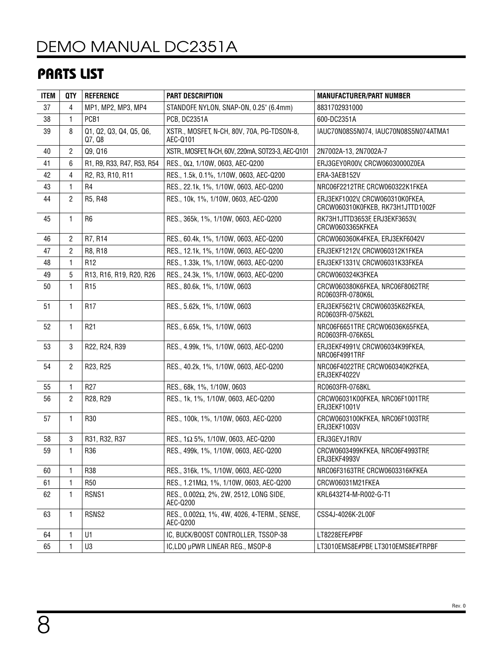# [DEMO MANUAL DC2351A](https://www.analog.com/DC2351A?doc=DC2351A.pdf)

## PARTS LIST

| <b>ITEM</b> | <b>QTY</b>     | <b>REFERENCE</b>                  | <b>PART DESCRIPTION</b>                                         | <b>MANUFACTURER/PART NUMBER</b>                                      |  |
|-------------|----------------|-----------------------------------|-----------------------------------------------------------------|----------------------------------------------------------------------|--|
| 37          | 4              | MP1, MP2, MP3, MP4                | STANDOFF, NYLON, SNAP-ON, 0.25" (6.4mm)                         | 8831702931000                                                        |  |
| 38          | 1              | PCB1                              | <b>PCB, DC2351A</b>                                             | 600-DC2351A                                                          |  |
| 39          | 8              | Q1, Q2, Q3, Q4, Q5, Q6,<br>Q7, Q8 | XSTR., MOSFET, N-CH, 80V, 70A, PG-TDSON-8,<br>AEC-Q101          | IAUC70N08S5N074, IAUC70N08S5N074ATMA1                                |  |
| 40          | $\overline{2}$ | Q9, Q16                           | XSTR., MOSFET, N-CH, 60V, 220mA, SOT23-3, AEC-Q101              | 2N7002A-13, 2N7002A-7                                                |  |
| 41          | 6              | R1, R9, R33, R47, R53, R54        | RES., 0Ω, 1/10W, 0603, AEC-Q200                                 | ERJ3GEY0R00V, CRCW06030000Z0EA                                       |  |
| 42          | 4              | R2, R3, R10, R11                  | RES., 1.5k, 0.1%, 1/10W, 0603, AEC-Q200                         | ERA-3AEB152V                                                         |  |
| 43          | 1              | R <sub>4</sub>                    | RES., 22.1k, 1%, 1/10W, 0603, AEC-Q200                          | NRC06F2212TRF, CRCW060322K1FKEA                                      |  |
| 44          | 2              | R5, R48                           | RES., 10k, 1%, 1/10W, 0603, AEC-Q200                            | ERJ3EKF1002V, CRCW060310K0FKEA,<br>CRCW060310K0FKEB, RK73H1JTTD1002F |  |
| 45          | 1              | R <sub>6</sub>                    | RES., 365k, 1%, 1/10W, 0603, AEC-Q200                           | RK73H1JTTD3653F, ERJ3EKF3653V,<br>CRCW0603365KFKEA                   |  |
| 46          | 2              | R7, R14                           | RES., 60.4k, 1%, 1/10W, 0603, AEC-Q200                          | CRCW060360K4FKEA, ERJ3EKF6042V                                       |  |
| 47          | $\overline{2}$ | R8, R18                           | RES., 12.1k, 1%, 1/10W, 0603, AEC-Q200                          | ERJ3EKF1212V, CRCW060312K1FKEA                                       |  |
| 48          | 1              | R <sub>12</sub>                   | RES., 1.33k, 1%, 1/10W, 0603, AEC-Q200                          | ERJ3EKF1331V, CRCW06031K33FKEA                                       |  |
| 49          | 5              | R13, R16, R19, R20, R26           | RES., 24.3k, 1%, 1/10W, 0603, AEC-Q200                          | CRCW060324K3FKEA                                                     |  |
| 50          | 1              | R <sub>15</sub>                   | RES., 80.6k, 1%, 1/10W, 0603                                    | CRCW060380K6FKEA, NRC06F8062TRF,<br>RC0603FR-0780K6L                 |  |
| 51          | 1              | R <sub>17</sub>                   | RES., 5.62k, 1%, 1/10W, 0603                                    | ERJ3EKF5621V, CRCW06035K62FKEA,<br>RC0603FR-075K62L                  |  |
| 52          | 1              | R <sub>21</sub>                   | RES., 6.65k, 1%, 1/10W, 0603                                    | NRC06F6651TRF, CRCW06036K65FKEA,<br>RC0603FR-076K65L                 |  |
| 53          | 3              | R22, R24, R39                     | RES., 4.99k, 1%, 1/10W, 0603, AEC-Q200                          | ERJ3EKF4991V, CRCW06034K99FKEA,<br>NRC06F4991TRF                     |  |
| 54          | 2              | R23, R25                          | RES., 40.2k, 1%, 1/10W, 0603, AEC-Q200                          | NRC06F4022TRF, CRCW060340K2FKEA,<br>ERJ3EKF4022V                     |  |
| 55          | 1              | R <sub>27</sub>                   | RES., 68k, 1%, 1/10W, 0603                                      | RC0603FR-0768KL                                                      |  |
| 56          | 2              | R28, R29                          | RES., 1k, 1%, 1/10W, 0603, AEC-Q200                             | CRCW06031K00FKEA, NRC06F1001TRF,<br>ERJ3EKF1001V                     |  |
| 57          | 1              | R30                               | RES., 100k, 1%, 1/10W, 0603, AEC-Q200                           | CRCW0603100KFKEA, NRC06F1003TRF,<br>ERJ3EKF1003V                     |  |
| 58          | 3              | R31, R32, R37                     | RES., 1Ω 5%, 1/10W, 0603, AEC-Q200                              | ERJ3GEYJ1R0V                                                         |  |
| 59          | 1              | R36                               | RES., 499k, 1%, 1/10W, 0603, AEC-Q200                           | CRCW0603499KFKEA, NRC06F4993TRF,<br>ERJ3EKF4993V                     |  |
| 60          | 1              | R38                               | RES., 316k, 1%, 1/10W, 0603, AEC-Q200                           | NRC06F3163TRF, CRCW0603316KFKEA                                      |  |
| 61          | 1              | <b>R50</b>                        | RES., 1.21MΩ, 1%, 1/10W, 0603, AEC-Q200                         | CRCW06031M21FKEA                                                     |  |
| 62          | 1              | RSNS1                             | RES., 0.002Ω, 2%, 2W, 2512, LONG SIDE,<br>AEC-Q200              | KRL6432T4-M-R002-G-T1                                                |  |
| 63          | 1.             | RSNS2                             | RES., $0.002\Omega$ , 1%, 4W, 4026, 4-TERM., SENSE,<br>AEC-Q200 | CSS4J-4026K-2L00F                                                    |  |
| 64          | 1.             | U1                                | IC, BUCK/BOOST CONTROLLER, TSSOP-38                             | LT8228EFE#PBF                                                        |  |
| 65          | 1              | U3                                | IC, LDO µPWR LINEAR REG., MSOP-8                                | LT3010EMS8E#PBF, LT3010EMS8E#TRPBF                                   |  |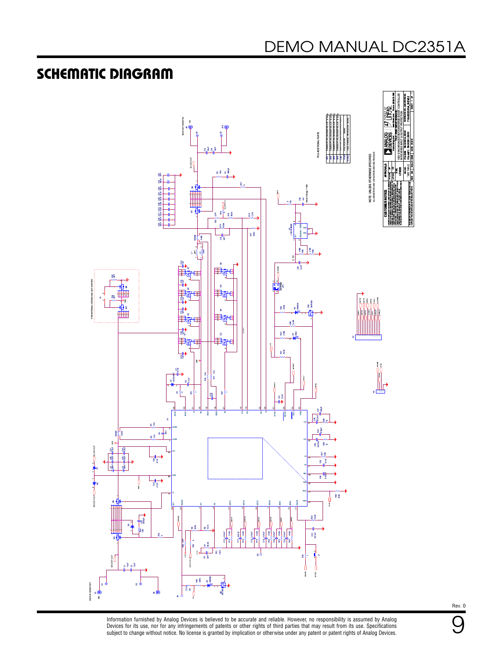## SCHEMATIC DIAGRAM



Information furnished by Analog Devices is believed to be accurate and reliable. However, no responsibility is assumed by Analog Devices for its use, nor for any infringements of patents or other rights of third parties that may result from its use. Specifications<br>subject to change without notice. No license is granted by implication or otherwise un Rev. 0